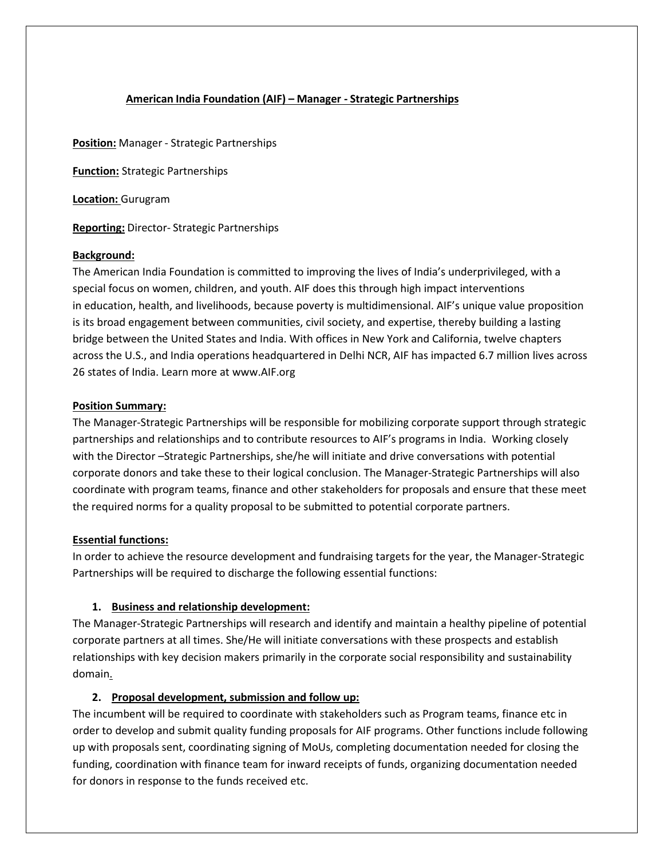## **American India Foundation (AIF) – Manager - Strategic Partnerships**

**Position:** Manager - Strategic Partnerships

**Function:** Strategic Partnerships

**Location:** Gurugram

**Reporting:** Director- Strategic Partnerships

#### **Background:**

The American India Foundation is committed to improving the lives of India's underprivileged, with a special focus on women, children, and youth. AIF does this through high impact interventions in education, health, and livelihoods, because poverty is multidimensional. AIF's unique value proposition is its broad engagement between communities, civil society, and expertise, thereby building a lasting bridge between the United States and India. With offices in New York and California, twelve chapters across the U.S., and India operations headquartered in Delhi NCR, AIF has impacted 6.7 million lives across 26 states of India. Learn more at [www.AIF.org](http://www.aif.org/)

#### **Position Summary:**

The Manager-Strategic Partnerships will be responsible for mobilizing corporate support through strategic partnerships and relationships and to contribute resources to AIF's programs in India. Working closely with the Director –Strategic Partnerships, she/he will initiate and drive conversations with potential corporate donors and take these to their logical conclusion. The Manager-Strategic Partnerships will also coordinate with program teams, finance and other stakeholders for proposals and ensure that these meet the required norms for a quality proposal to be submitted to potential corporate partners.

### **Essential functions:**

In order to achieve the resource development and fundraising targets for the year, the Manager-Strategic Partnerships will be required to discharge the following essential functions:

### **1. Business and relationship development:**

The Manager-Strategic Partnerships will research and identify and maintain a healthy pipeline of potential corporate partners at all times. She/He will initiate conversations with these prospects and establish relationships with key decision makers primarily in the corporate social responsibility and sustainability domain.

### **2. Proposal development, submission and follow up:**

The incumbent will be required to coordinate with stakeholders such as Program teams, finance etc in order to develop and submit quality funding proposals for AIF programs. Other functions include following up with proposals sent, coordinating signing of MoUs, completing documentation needed for closing the funding, coordination with finance team for inward receipts of funds, organizing documentation needed for donors in response to the funds received etc.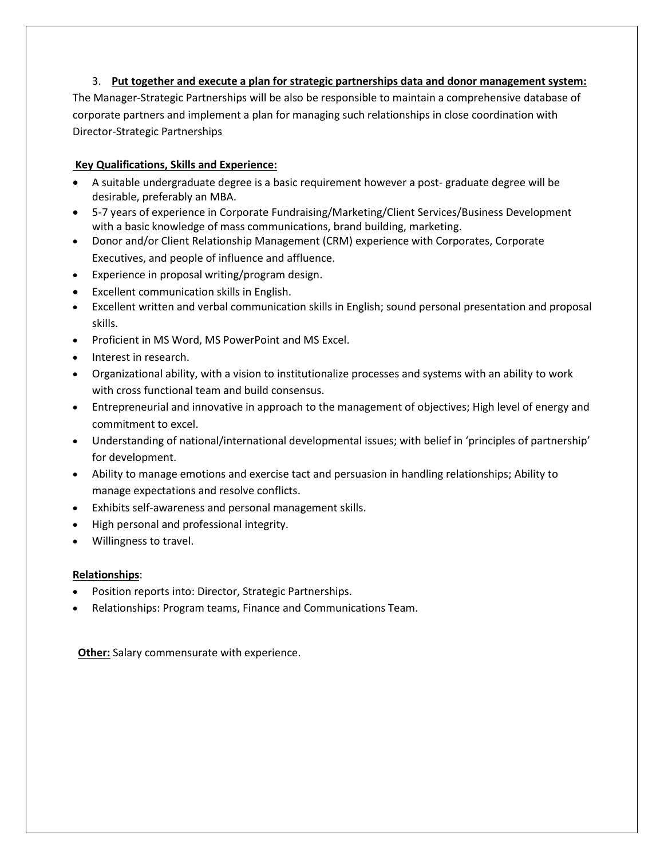## 3. **Put together and execute a plan for strategic partnerships data and donor management system:**

The Manager-Strategic Partnerships will be also be responsible to maintain a comprehensive database of corporate partners and implement a plan for managing such relationships in close coordination with Director-Strategic Partnerships

## **Key Qualifications, Skills and Experience:**

- A suitable undergraduate degree is a basic requirement however a post- graduate degree will be desirable, preferably an MBA.
- 5-7 years of experience in Corporate Fundraising/Marketing/Client Services/Business Development with a basic knowledge of mass communications, brand building, marketing.
- Donor and/or Client Relationship Management (CRM) experience with Corporates, Corporate Executives, and people of influence and affluence.
- Experience in proposal writing/program design.
- Excellent communication skills in English.
- Excellent written and verbal communication skills in English; sound personal presentation and proposal skills.
- Proficient in MS Word, MS PowerPoint and MS Excel.
- Interest in research.
- Organizational ability, with a vision to institutionalize processes and systems with an ability to work with cross functional team and build consensus.
- Entrepreneurial and innovative in approach to the management of objectives; High level of energy and commitment to excel.
- Understanding of national/international developmental issues; with belief in 'principles of partnership' for development.
- Ability to manage emotions and exercise tact and persuasion in handling relationships; Ability to manage expectations and resolve conflicts.
- Exhibits self-awareness and personal management skills.
- High personal and professional integrity.
- Willingness to travel.

### **Relationships**:

- Position reports into: Director, Strategic Partnerships.
- Relationships: Program teams, Finance and Communications Team.

**Other:** Salary commensurate with experience.